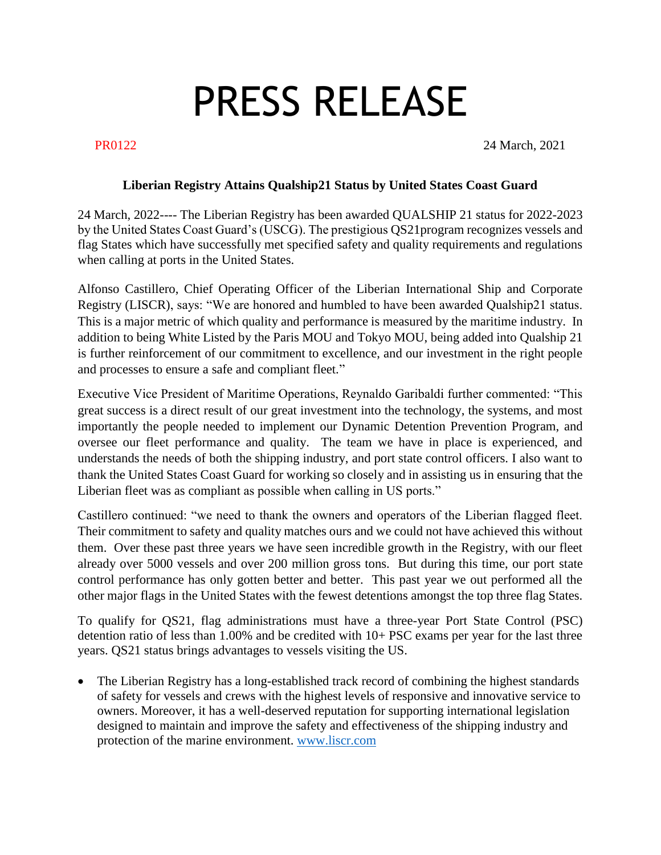## PRESS RELEASE

**PR0122** 24 March, 2021

## **Liberian Registry Attains Qualship21 Status by United States Coast Guard**

24 March, 2022---- The Liberian Registry has been awarded QUALSHIP 21 status for 2022-2023 by the United States Coast Guard's (USCG). The prestigious QS21program recognizes vessels and flag States which have successfully met specified safety and quality requirements and regulations when calling at ports in the United States.

Alfonso Castillero, Chief Operating Officer of the Liberian International Ship and Corporate Registry (LISCR), says: "We are honored and humbled to have been awarded Qualship21 status. This is a major metric of which quality and performance is measured by the maritime industry. In addition to being White Listed by the Paris MOU and Tokyo MOU, being added into Qualship 21 is further reinforcement of our commitment to excellence, and our investment in the right people and processes to ensure a safe and compliant fleet."

Executive Vice President of Maritime Operations, Reynaldo Garibaldi further commented: "This great success is a direct result of our great investment into the technology, the systems, and most importantly the people needed to implement our Dynamic Detention Prevention Program, and oversee our fleet performance and quality. The team we have in place is experienced, and understands the needs of both the shipping industry, and port state control officers. I also want to thank the United States Coast Guard for working so closely and in assisting us in ensuring that the Liberian fleet was as compliant as possible when calling in US ports."

Castillero continued: "we need to thank the owners and operators of the Liberian flagged fleet. Their commitment to safety and quality matches ours and we could not have achieved this without them. Over these past three years we have seen incredible growth in the Registry, with our fleet already over 5000 vessels and over 200 million gross tons. But during this time, our port state control performance has only gotten better and better. This past year we out performed all the other major flags in the United States with the fewest detentions amongst the top three flag States.

To qualify for QS21, flag administrations must have a three-year Port State Control (PSC) detention ratio of less than 1.00% and be credited with 10+ PSC exams per year for the last three years. QS21 status brings advantages to vessels visiting the US.

• The Liberian Registry has a long-established track record of combining the highest standards of safety for vessels and crews with the highest levels of responsive and innovative service to owners. Moreover, it has a well-deserved reputation for supporting international legislation designed to maintain and improve the safety and effectiveness of the shipping industry and protection of the marine environment. [www.liscr.com](http://www.liscr.com/)